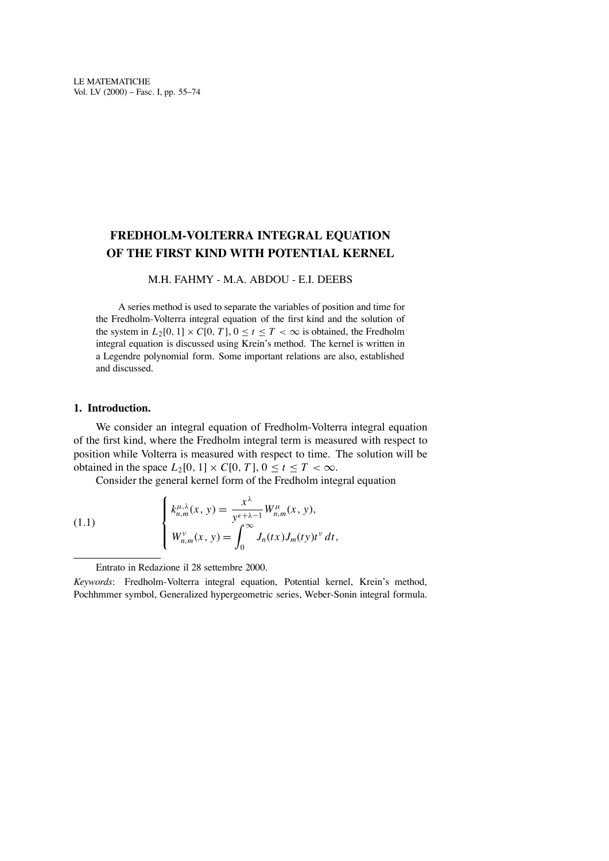# **FREDHOLM-VOLTERRA INTEGRAL EQUATION OF THE FIRST KIND WITH POTENTIAL KERNEL**

## M.H. FAHMY - M.A. ABDOU - E.I. DEEBS

A series method is used to separate the variables of position and time for the Fredholm-Volterra integral equation of the first kind and the solution of the system in  $L_2[0, 1] \times C[0, T]$ ,  $0 \le t \le T < \infty$  is obtained, the Fredholm integral equation is discussed using Krein's method. The kernel is written in a Legendre polynomial form. Some important relations are also, established and discussed.

## **1. Introduction.**

We consider an integral equation of Fredholm-Volterra integral equation of the first kind, where the Fredholm integral term is measured with respect to position while Volterra is measured with respect to time. The solution will be obtained in the space  $L_2[0, 1] \times C[0, T]$ ,  $0 \le t \le T < \infty$ .

Consider the general kernel form of the Fredholm integral equation

(1.1) 
$$
\begin{cases} k_{n,m}^{\mu,\lambda}(x, y) = \frac{x^{\lambda}}{y^{\epsilon+\lambda-1}} W_{n,m}^{\mu}(x, y), \\ W_{n,m}^{\nu}(x, y) = \int_0^\infty J_n(tx) J_m(ty) t^{\nu} dt, \end{cases}
$$

Entrato in Redazione il 28 settembre 2000.

*Keywords*: Fredholm-Volterra integral equation, Potential kernel, Krein's method, Pochhmmer symbol, Generalized hypergeometric series, Weber-Sonin integral formula.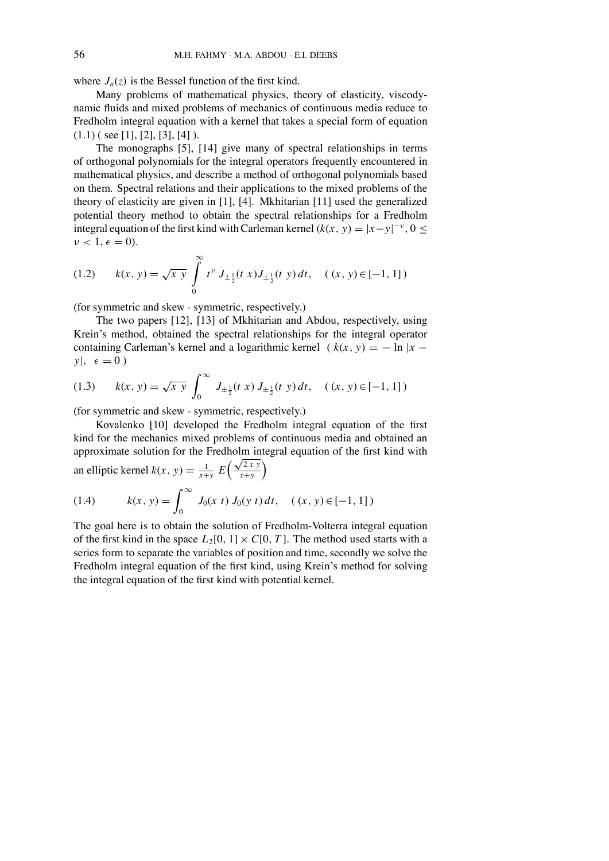where  $J_n(z)$  is the Bessel function of the first kind.

Many problems of mathematical physics, theory of elasticity, viscodynamic fluids and mixed problems of mechanics of continuous media reduce to Fredholm integral equation with a kernel that takes a special form of equation  $(1.1)$  ( see [1], [2], [3], [4]).

The monographs [5], [14] give many of spectral relationships in terms of orthogonal polynomials for the integral operators frequently encountered in mathematical physics, and describe a method of orthogonal polynomials based on them. Spectral relations and their applications to the mixed problems of the theory of elasticity are given in [1], [4]. Mkhitarian [11] used the generalized potential theory method to obtain the spectral relationships for a Fredholm integral equation of the first kind with Carleman kernel  $(k(x, y) = |x-y|^{-\nu}, 0 \le$  $\nu < 1, \epsilon = 0$ ).

(1.2) 
$$
k(x, y) = \sqrt{x y} \int_{0}^{\infty} t^{\nu} J_{\pm \frac{1}{2}}(t x) J_{\pm \frac{1}{2}}(t y) dt, \quad (x, y) \in [-1, 1])
$$

(for symmetric and skew - symmetric, respectively.)

The two papers [12], [13] of Mkhitarian and Abdou, respectively, using Krein's method, obtained the spectral relationships for the integral operator containing Carleman's kernel and a logarithmic kernel ( $k(x, y) = -\ln|x - y|$  $y|, \epsilon = 0)$ 

(1.3) 
$$
k(x, y) = \sqrt{xy} \int_0^\infty J_{\pm \frac{1}{2}}(t x) J_{\pm \frac{1}{2}}(t y) dt, \quad (x, y) \in [-1, 1])
$$

(for symmetric and skew - symmetric, respectively.)

Kovalenko [10] developed the Fredholm integral equation of the first kind for the mechanics mixed problems of continuous media and obtained an approximate solution for the Fredholm integral equation of the first kind with an elliptic kernel  $k(x, y) = \frac{1}{x+y} E\left(\frac{\sqrt{2xy}}{x+y}\right)$ *x*+*y*  $\lambda$ (1.4)  $k(x, y) = \int_{0}^{\infty}$ *J*<sub>0</sub>(*x t*) *J*<sub>0</sub>(*y t*) *dt*, ((*x*, *y*) ∈ [−1, 1])

The goal here is to obtain the solution of Fredholm-Volterra integral equation of the first kind in the space  $L_2[0, 1] \times C[0, T]$ . The method used starts with a series form to separate the variables of position and time, secondly we solve the Fredholm integral equation of the first kind, using Krein's method for solving the integral equation of the first kind with potential kernel.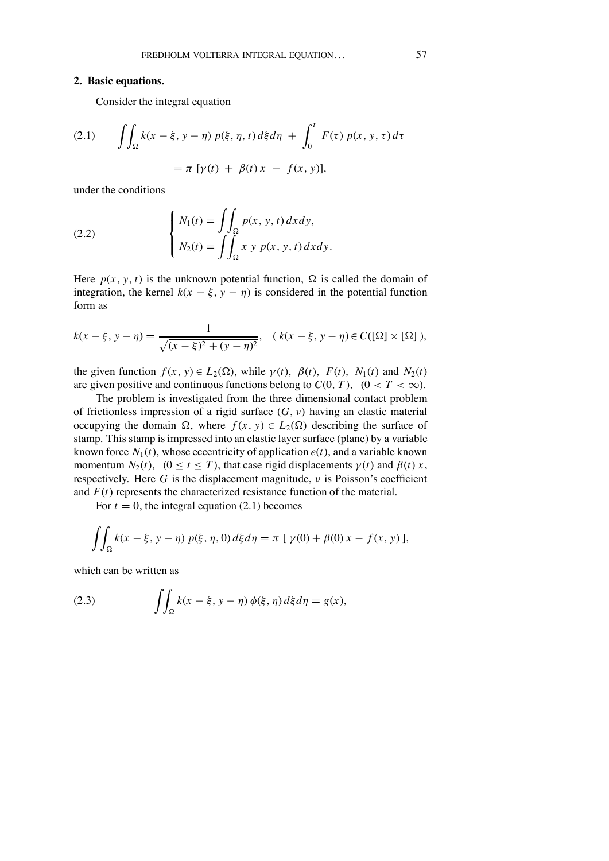#### **2. Basic equations.**

Consider the integral equation

(2.1) 
$$
\iint_{\Omega} k(x - \xi, y - \eta) p(\xi, \eta, t) d\xi d\eta + \int_{0}^{t} F(\tau) p(x, y, \tau) d\tau = \pi [\gamma(t) + \beta(t) x - f(x, y)],
$$

under the conditions

(2.2) 
$$
\begin{cases} N_1(t) = \iint_{\Omega} p(x, y, t) dx dy, \\ N_2(t) = \iint_{\Omega} x y p(x, y, t) dx dy. \end{cases}
$$

Here  $p(x, y, t)$  is the unknown potential function,  $\Omega$  is called the domain of integration, the kernel  $k(x - \xi, y - \eta)$  is considered in the potential function form as

$$
k(x - \xi, y - \eta) = \frac{1}{\sqrt{(x - \xi)^2 + (y - \eta)^2}}, \quad (k(x - \xi, y - \eta) \in C([\Omega] \times [\Omega]),
$$

the given function  $f(x, y) \in L_2(\Omega)$ , while  $\gamma(t)$ ,  $\beta(t)$ ,  $F(t)$ ,  $N_1(t)$  and  $N_2(t)$ are given positive and continuous functions belong to  $C(0, T)$ ,  $(0 < T < \infty)$ .

The problem is investigated from the three dimensional contact problem of frictionless impression of a rigid surface  $(G, v)$  having an elastic material occupying the domain  $\Omega$ , where  $f(x, y) \in L_2(\Omega)$  describing the surface of stamp. This stamp is impressed into an elastic layer surface (plane) by a variable known force  $N_1(t)$ , whose eccentricity of application  $e(t)$ , and a variable known momentum  $N_2(t)$ ,  $(0 \le t \le T)$ , that case rigid displacements  $\gamma(t)$  and  $\beta(t)$  *x*, respectively. Here  $G$  is the displacement magnitude,  $\nu$  is Poisson's coefficient and  $F(t)$  represents the characterized resistance function of the material.

For  $t = 0$ , the integral equation (2.1) becomes

$$
\iint_{\Omega} k(x - \xi, y - \eta) \, p(\xi, \eta, 0) \, d\xi \, d\eta = \pi \, [\, \gamma(0) + \beta(0) \, x - f(x, y) \,],
$$

which can be written as

(2.3) 
$$
\int\!\!\int_{\Omega} k(x-\xi, y-\eta) \phi(\xi, \eta) d\xi d\eta = g(x),
$$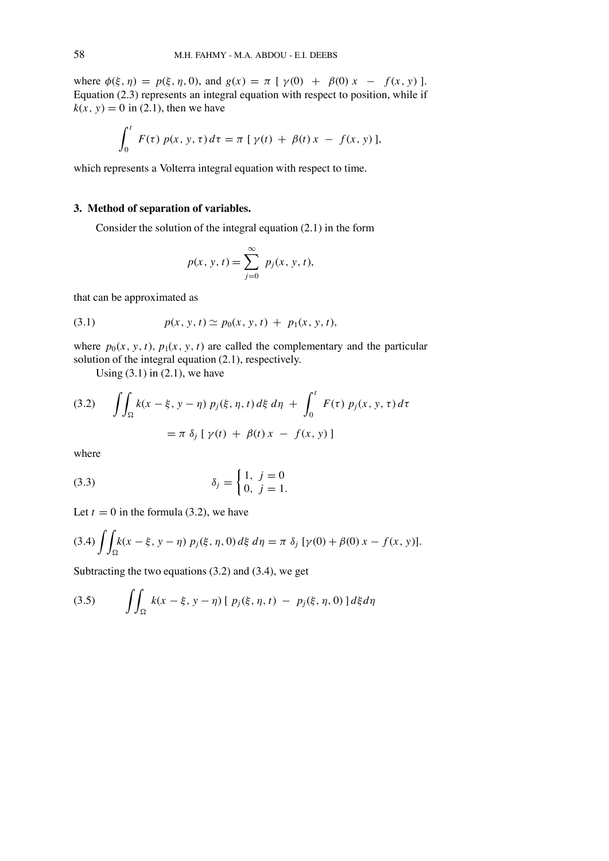where  $\phi(\xi, \eta) = p(\xi, \eta, 0)$ , and  $g(x) = \pi [\gamma(0) + \beta(0) x - f(x, y)]$ . Equation (2.3) represents an integral equation with respect to position, while if  $k(x, y) = 0$  in (2.1), then we have

$$
\int_0^t F(\tau) \, p(x, y, \tau) \, d\tau = \pi \, [\, \gamma(t) \, + \, \beta(t) \, x \, - \, f(x, y) \,],
$$

which represents a Volterra integral equation with respect to time.

## **3. Method of separation of variables.**

Consider the solution of the integral equation (2.1) in the form

$$
p(x, y, t) = \sum_{j=0}^{\infty} p_j(x, y, t),
$$

that can be approximated as

(3.1) 
$$
p(x, y, t) \simeq p_0(x, y, t) + p_1(x, y, t),
$$

where  $p_0(x, y, t)$ ,  $p_1(x, y, t)$  are called the complementary and the particular solution of the integral equation (2.1), respectively.

Using  $(3.1)$  in  $(2.1)$ , we have

(3.2) 
$$
\iint_{\Omega} k(x - \xi, y - \eta) p_j(\xi, \eta, t) d\xi d\eta + \int_0^t F(\tau) p_j(x, y, \tau) d\tau
$$

$$
= \pi \delta_j [\gamma(t) + \beta(t) x - f(x, y)]
$$

where

(3.3) 
$$
\delta_j = \begin{cases} 1, & j = 0 \\ 0, & j = 1. \end{cases}
$$

Let  $t = 0$  in the formula (3.2), we have

$$
(3.4) \int\int_{\Omega} k(x - \xi, y - \eta) \ p_j(\xi, \eta, 0) d\xi \ d\eta = \pi \ \delta_j \ [\gamma(0) + \beta(0) \ x - f(x, y)].
$$

Subtracting the two equations (3.2) and (3.4), we get

(3.5) 
$$
\iint_{\Omega} k(x - \xi, y - \eta) [p_j(\xi, \eta, t) - p_j(\xi, \eta, 0)] d\xi d\eta
$$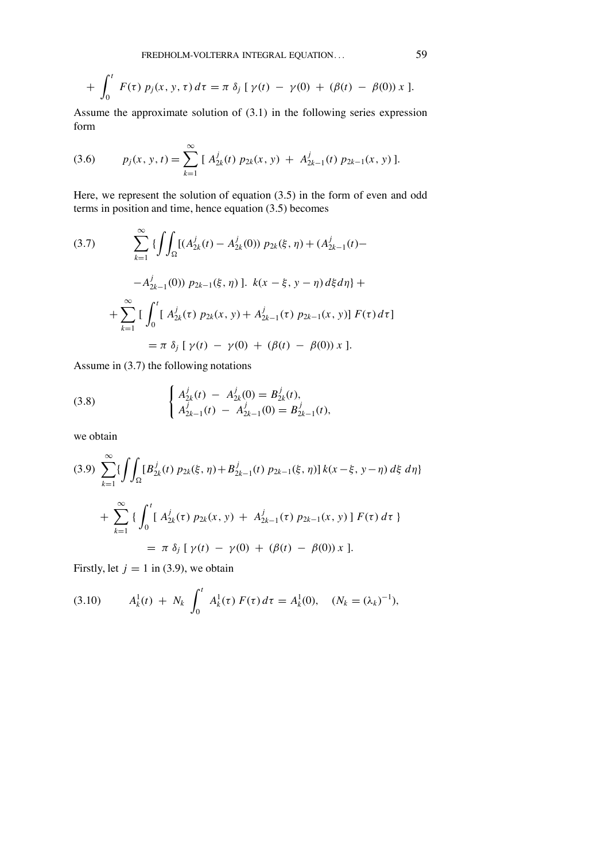+ 
$$
\int_0^t F(\tau) p_j(x, y, \tau) d\tau = \pi \delta_j [\gamma(t) - \gamma(0) + (\beta(t) - \beta(0)) x].
$$

Assume the approximate solution of (3.1) in the following series expression form

(3.6) 
$$
p_j(x, y, t) = \sum_{k=1}^{\infty} [A_{2k}^j(t) p_{2k}(x, y) + A_{2k-1}^j(t) p_{2k-1}(x, y)].
$$

Here, we represent the solution of equation (3.5) in the form of even and odd terms in position and time, hence equation (3.5) becomes

(3.7) 
$$
\sum_{k=1}^{\infty} \left\{ \int \int_{\Omega} \left[ (A_{2k}^{j}(t) - A_{2k}^{j}(0)) p_{2k}(\xi, \eta) + (A_{2k-1}^{j}(t) - A_{2k-1}^{j}(0)) p_{2k-1}(\xi, \eta) \right] \right\} R(x - \xi, y - \eta) d\xi d\eta \} +
$$

$$
+ \sum_{k=1}^{\infty} \left[ \int_{0}^{t} \left[ A_{2k}^{j}(\tau) p_{2k}(x, y) + A_{2k-1}^{j}(\tau) p_{2k-1}(x, y) \right] F(\tau) d\tau \right]
$$

$$
= \pi \delta_{j} \left[ \gamma(t) - \gamma(0) + (\beta(t) - \beta(0)) x \right].
$$

Assume in (3.7) the following notations

(3.8) 
$$
\begin{cases} A_{2k}^{j}(t) - A_{2k}^{j}(0) = B_{2k}^{j}(t), \\ A_{2k-1}^{j}(t) - A_{2k-1}^{j}(0) = B_{2k-1}^{j}(t), \end{cases}
$$

we obtain

$$
(3.9) \sum_{k=1}^{\infty} \{ \int \int_{\Omega} [B_{2k}^{j}(t) p_{2k}(\xi, \eta) + B_{2k-1}^{j}(t) p_{2k-1}(\xi, \eta)] k(x - \xi, y - \eta) d\xi d\eta \}
$$
  
+ 
$$
\sum_{k=1}^{\infty} \{ \int_{0}^{t} [A_{2k}^{j}(\tau) p_{2k}(x, y) + A_{2k-1}^{j}(\tau) p_{2k-1}(x, y)] F(\tau) d\tau \}
$$
  
=  $\pi \delta_{j} [\gamma(t) - \gamma(0) + (\beta(t) - \beta(0)) x].$ 

Firstly, let  $j = 1$  in (3.9), we obtain

(3.10) 
$$
A_k^1(t) + N_k \int_0^t A_k^1(\tau) F(\tau) d\tau = A_k^1(0), \quad (N_k = (\lambda_k)^{-1}),
$$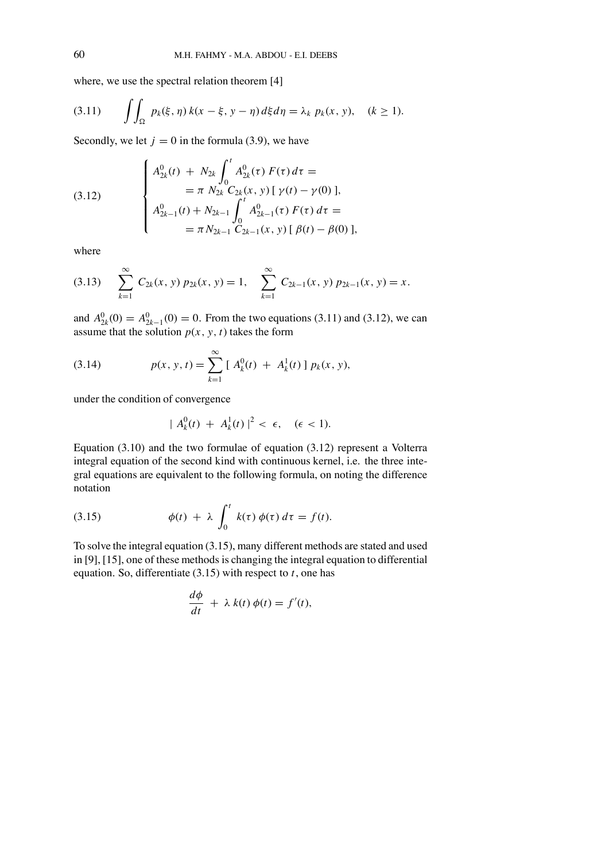where, we use the spectral relation theorem [4]

$$
(3.11) \qquad \iint_{\Omega} p_k(\xi, \eta) \, k(x - \xi, y - \eta) \, d\xi d\eta = \lambda_k \, p_k(x, y), \quad (k \ge 1).
$$

Secondly, we let  $j = 0$  in the formula (3.9), we have

(3.12) 
$$
\begin{cases} A_{2k}^{0}(t) + N_{2k} \int_{0}^{t} A_{2k}^{0}(\tau) F(\tau) d\tau = \\qquad \qquad = \pi N_{2k} C_{2k}(x, y) [\gamma(t) - \gamma(0)], \\ A_{2k-1}^{0}(t) + N_{2k-1} \int_{0}^{t} A_{2k-1}^{0}(\tau) F(\tau) d\tau = \\qquad \qquad = \pi N_{2k-1} C_{2k-1}(x, y) [\beta(t) - \beta(0)], \end{cases}
$$

where

$$
(3.13) \sum_{k=1}^{\infty} C_{2k}(x, y) p_{2k}(x, y) = 1, \sum_{k=1}^{\infty} C_{2k-1}(x, y) p_{2k-1}(x, y) = x.
$$

and  $A_{2k}^0(0) = A_{2k-1}^0(0) = 0$ . From the two equations (3.11) and (3.12), we can assume that the solution  $p(x, y, t)$  takes the form

(3.14) 
$$
p(x, y, t) = \sum_{k=1}^{\infty} [A_k^0(t) + A_k^1(t)] p_k(x, y),
$$

under the condition of convergence

$$
| A_k^0(t) + A_k^1(t) |^2 < \epsilon, \quad (\epsilon < 1).
$$

Equation (3.10) and the two formulae of equation (3.12) represent a Volterra integral equation of the second kind with continuous kernel, i.e. the three integral equations are equivalent to the following formula, on noting the difference notation

(3.15) 
$$
\phi(t) + \lambda \int_0^t k(\tau) \phi(\tau) d\tau = f(t).
$$

*d*φ

To solve the integral equation (3.15), many different methods are stated and used in [9], [15], one of these methods is changing the integral equation to differential equation. So, differentiate (3.15) with respect to *t*, one has

$$
\frac{d\phi}{dt} + \lambda k(t) \phi(t) = f'(t),
$$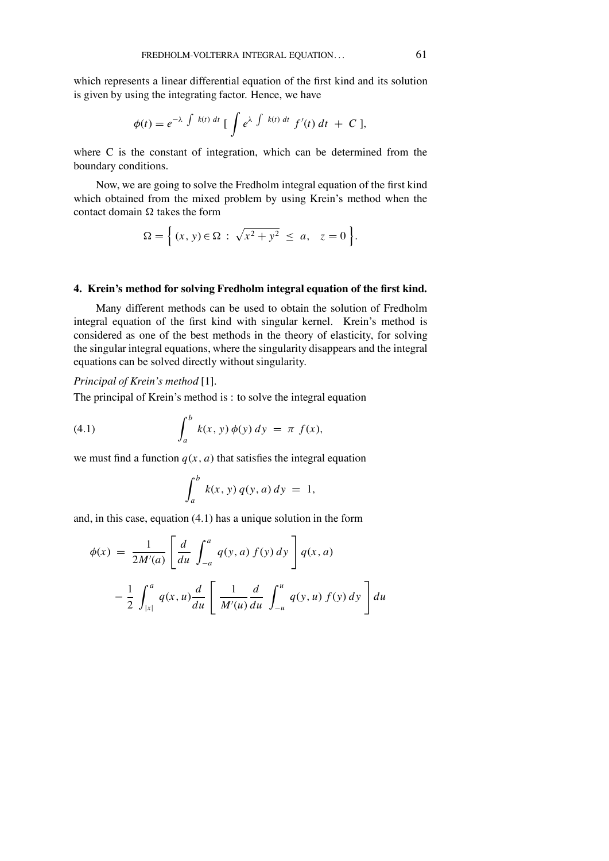which represents a linear differential equation of the first kind and its solution is given by using the integrating factor. Hence, we have

$$
\phi(t) = e^{-\lambda \int k(t) dt} \left[ \int e^{\lambda \int k(t) dt} f'(t) dt + C \right],
$$

where C is the constant of integration, which can be determined from the boundary conditions.

Now, we are going to solve the Fredholm integral equation of the first kind which obtained from the mixed problem by using Krein's method when the contact domain  $\Omega$  takes the form

$$
\Omega = \left\{ (x, y) \in \Omega : \sqrt{x^2 + y^2} \le a, \quad z = 0 \right\}.
$$

## **4. Kreins method for solving Fredholm integral equation of the �rst kind.**

Many different methods can be used to obtain the solution of Fredholm integral equation of the first kind with singular kernel. Krein's method is considered as one of the best methods in the theory of elasticity, for solving the singular integral equations, where the singularity disappears and the integral equations can be solved directly without singularity.

#### *Principal of Krein's method* [1].

The principal of Krein's method is : to solve the integral equation

(4.1) 
$$
\int_{a}^{b} k(x, y) \phi(y) dy = \pi f(x),
$$

we must find a function  $q(x, a)$  that satisfies the integral equation

$$
\int_a^b k(x, y) q(y, a) dy = 1,
$$

and, in this case, equation (4.1) has a unique solution in the form

$$
\phi(x) = \frac{1}{2M'(a)} \left[ \frac{d}{du} \int_{-a}^{a} q(y, a) f(y) dy \right] q(x, a)
$$

$$
- \frac{1}{2} \int_{|x|}^{a} q(x, u) \frac{d}{du} \left[ \frac{1}{M'(u)} \frac{d}{du} \int_{-u}^{u} q(y, u) f(y) dy \right] du
$$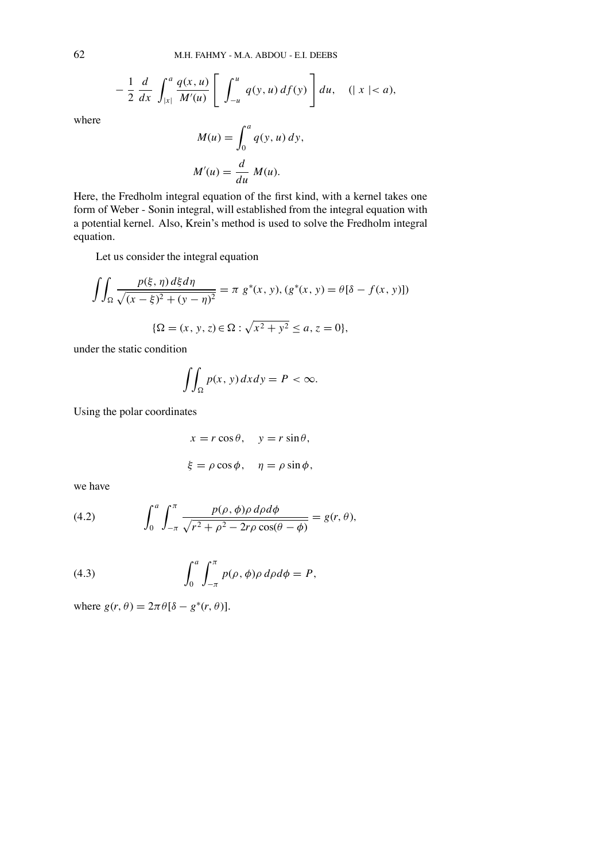$$
-\frac{1}{2}\frac{d}{dx}\int_{|x|}^{a}\frac{q(x,u)}{M'(u)}\left[\int_{-u}^{u}q(y,u)\,df(y)\right]du, \quad (|x|
$$

where

$$
M(u) = \int_0^a q(y, u) dy,
$$
  

$$
M'(u) = \frac{d}{du} M(u).
$$

Here, the Fredholm integral equation of the first kind, with a kernel takes one form of Weber - Sonin integral, will established from the integral equation with a potential kernel. Also, Krein's method is used to solve the Fredholm integral equation.

Let us consider the integral equation

$$
\iint_{\Omega} \frac{p(\xi, \eta) d\xi d\eta}{\sqrt{(x-\xi)^2 + (y-\eta)^2}} = \pi \ g^*(x, y), (g^*(x, y) = \theta[\delta - f(x, y)])
$$

$$
\{\Omega = (x, y, z) \in \Omega : \sqrt{x^2 + y^2} \le a, z = 0\},
$$

under the static condition

$$
\iint_{\Omega} p(x, y) dx dy = P < \infty.
$$

Using the polar coordinates

$$
x = r \cos \theta, \quad y = r \sin \theta,
$$
  

$$
\xi = \rho \cos \phi, \quad \eta = \rho \sin \phi,
$$

we have

(4.2) 
$$
\int_0^a \int_{-\pi}^{\pi} \frac{p(\rho, \phi) \rho \, d\rho d\phi}{\sqrt{r^2 + \rho^2 - 2r\rho \cos(\theta - \phi)}} = g(r, \theta),
$$

(4.3) 
$$
\int_0^a \int_{-\pi}^{\pi} p(\rho, \phi) \rho \, d\rho d\phi = P,
$$

where  $g(r, \theta) = 2\pi \theta [\delta - g^*(r, \theta)].$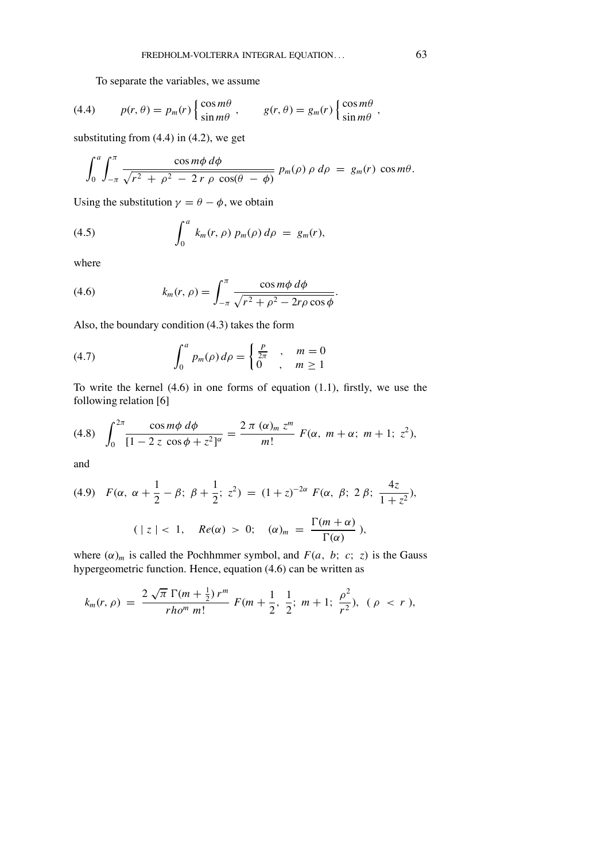To separate the variables, we assume

(4.4) 
$$
p(r,\theta) = p_m(r) \begin{cases} \cos m\theta \\ \sin m\theta \end{cases}, \qquad g(r,\theta) = g_m(r) \begin{cases} \cos m\theta \\ \sin m\theta \end{cases},
$$

substituting from (4.4) in (4.2), we get

$$
\int_0^a \int_{-\pi}^{\pi} \frac{\cos m\phi \, d\phi}{\sqrt{r^2 + \rho^2 - 2\,r\,\rho\,\cos(\theta - \phi)}} \, p_m(\rho) \, \rho \, d\rho \, = \, g_m(r) \, \cos m\theta.
$$

Using the substitution  $\gamma = \theta - \phi$ , we obtain

(4.5) 
$$
\int_0^a k_m(r,\rho) \, p_m(\rho) \, d\rho \, = \, g_m(r),
$$

where

(4.6) 
$$
k_m(r,\rho) = \int_{-\pi}^{\pi} \frac{\cos m\phi \,d\phi}{\sqrt{r^2 + \rho^2 - 2r\rho\cos\phi}}.
$$

Also, the boundary condition (4.3) takes the form

(4.7) 
$$
\int_0^a p_m(\rho) d\rho = \begin{cases} \frac{P}{2\pi} & , m = 0\\ 0 & , m \ge 1 \end{cases}
$$

To write the kernel  $(4.6)$  in one forms of equation  $(1.1)$ , firstly, we use the following relation [6]

(4.8) 
$$
\int_0^{2\pi} \frac{\cos m\phi \ d\phi}{[1-2\ z \ \cos \phi + z^2]^{\alpha}} = \frac{2\ \pi\ (\alpha)_{m} \ z^{m}}{m!} \ F(\alpha, \ m + \alpha; \ m + 1; \ z^2),
$$

and

(4.9) 
$$
F(\alpha, \alpha + \frac{1}{2} - \beta; \beta + \frac{1}{2}; z^2) = (1 + z)^{-2\alpha} F(\alpha, \beta; 2\beta; \frac{4z}{1 + z^2}),
$$
  

$$
(|z| < 1, \quad Re(\alpha) > 0; \quad (\alpha)_m = \frac{\Gamma(m + \alpha)}{\Gamma(\alpha)}),
$$

where  $(\alpha)_m$  is called the Pochhmmer symbol, and  $F(a, b; c; z)$  is the Gauss hypergeometric function. Hence, equation (4.6) can be written as

$$
k_m(r,\rho) = \frac{2\sqrt{\pi} \Gamma(m+\frac{1}{2}) r^m}{r h o^m m!} F(m+\frac{1}{2},\frac{1}{2}; m+1; \frac{\rho^2}{r^2}), (\rho < r),
$$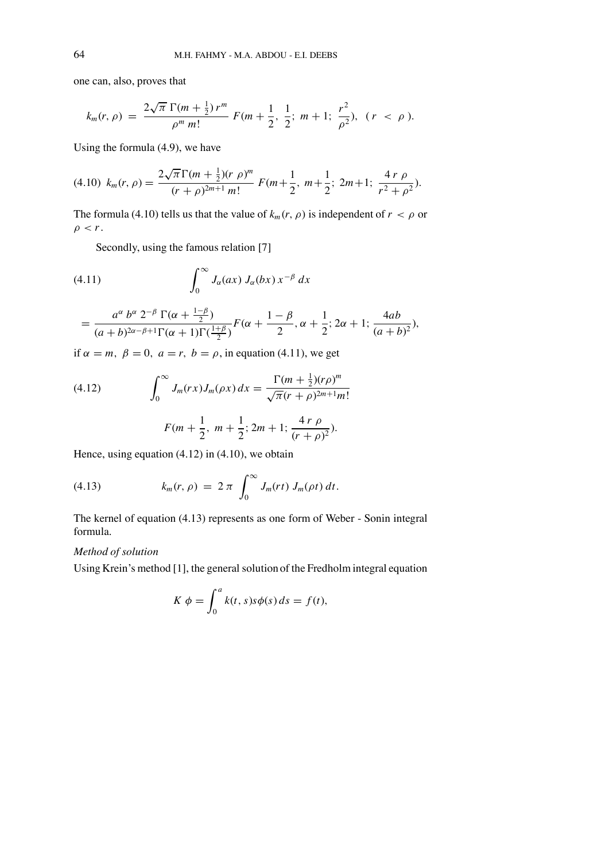one can, also, proves that

$$
k_m(r,\rho) = \frac{2\sqrt{\pi} \Gamma(m+\frac{1}{2}) r^m}{\rho^m m!} F(m+\frac{1}{2},\frac{1}{2}; m+1; \frac{r^2}{\rho^2}), (r < \rho).
$$

Using the formula (4.9), we have

$$
(4.10) \ k_m(r,\rho) = \frac{2\sqrt{\pi}\Gamma(m+\frac{1}{2})(r,\rho)^m}{(r+\rho)^{2m+1}m!} \ F(m+\frac{1}{2},\ m+\frac{1}{2};\ 2m+1;\ \frac{4\ r \ \rho}{r^2+\rho^2}).
$$

The formula (4.10) tells us that the value of  $k_m(r, \rho)$  is independent of  $r < \rho$  or  $\rho < r$ .

Secondly, using the famous relation [7]

(4.11) 
$$
\int_0^\infty J_\alpha(ax) J_\alpha(bx) x^{-\beta} dx
$$

$$
= \frac{a^{\alpha} b^{\alpha} 2^{-\beta} \Gamma(\alpha + \frac{1-\beta}{2})}{(a+b)^{2\alpha-\beta+1} \Gamma(\alpha+1) \Gamma(\frac{1+\beta}{2})} F(\alpha + \frac{1-\beta}{2}, \alpha + \frac{1}{2}; 2\alpha+1; \frac{4ab}{(a+b)^2}),
$$

if  $\alpha = m$ ,  $\beta = 0$ ,  $a = r$ ,  $b = \rho$ , in equation (4.11), we get

(4.12) 
$$
\int_0^\infty J_m(rx)J_m(\rho x) dx = \frac{\Gamma(m + \frac{1}{2})(r\rho)^m}{\sqrt{\pi}(r + \rho)^{2m+1}m!}
$$

$$
F(m + \frac{1}{2}, m + \frac{1}{2}; 2m + 1; \frac{4r \rho}{(r + \rho)^2}).
$$

Hence, using equation (4.12) in (4.10), we obtain

(4.13) 
$$
k_m(r,\rho) = 2 \pi \int_0^\infty J_m(rt) J_m(\rho t) dt.
$$

The kernel of equation (4.13) represents as one form of Weber - Sonin integral formula.

## *Method of solution*

Using Krein's method [1], the general solution of the Fredholm integral equation

$$
K \phi = \int_0^a k(t, s) s \phi(s) \, ds = f(t),
$$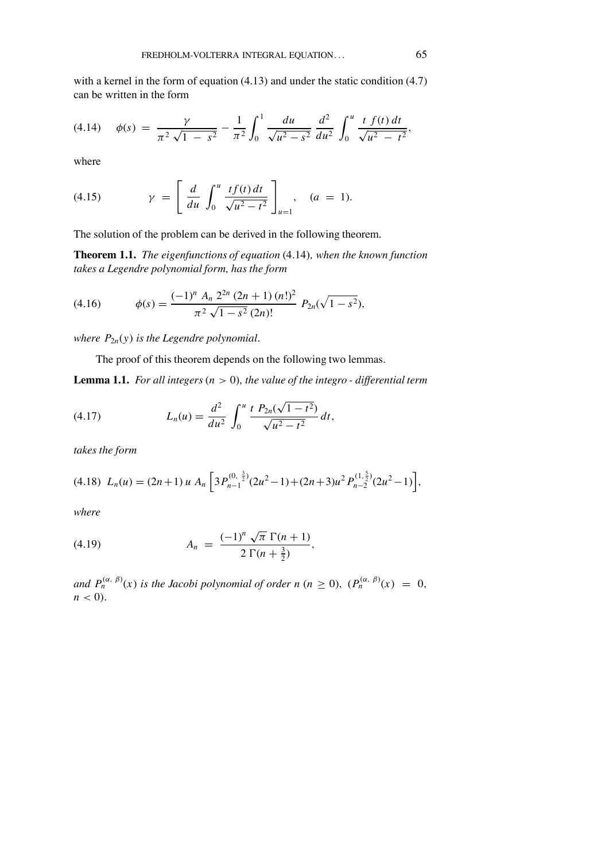with a kernel in the form of equation (4.13) and under the static condition (4.7) can be written in the form

$$
(4.14) \quad \phi(s) = \frac{\gamma}{\pi^2 \sqrt{1-s^2}} - \frac{1}{\pi^2} \int_0^1 \frac{du}{\sqrt{u^2-s^2}} \, \frac{d^2}{du^2} \int_0^u \frac{t \, f(t) \, dt}{\sqrt{u^2 - t^2}},
$$

where

(4.15) 
$$
\gamma = \left[ \frac{d}{du} \int_0^u \frac{tf(t) dt}{\sqrt{u^2 - t^2}} \right]_{u=1}, \quad (a = 1).
$$

The solution of the problem can be derived in the following theorem.

**Theorem 1.1.** *The eigenfunctions of equation* (4.14)*, when the known function takes a Legendre polynomial form, has the form*

(4.16) 
$$
\phi(s) = \frac{(-1)^n A_n 2^{2n} (2n+1) (n!)^2}{\pi^2 \sqrt{1-s^2} (2n)!} P_{2n}(\sqrt{1-s^2}),
$$

*where*  $P_{2n}(y)$  *is the Legendre polynomial.* 

The proof of this theorem depends on the following two lemmas.

**Lemma 1.1.** For all integers  $(n > 0)$ , the value of the integro - differential term

(4.17) 
$$
L_n(u) = \frac{d^2}{du^2} \int_0^u \frac{t P_{2n}(\sqrt{1-t^2})}{\sqrt{u^2-t^2}} dt,
$$

*takes the form*

$$
(4.18)\ \ L_n(u)=(2n+1)\,u\ A_n\bigg[3P_{n-1}^{(0,\frac{3}{2})}(2u^2-1)+(2n+3)u^2\,P_{n-2}^{(1,\frac{5}{2})}(2u^2-1)\bigg],
$$

*where*

(4.19) 
$$
A_n = \frac{(-1)^n \sqrt{\pi} \Gamma(n+1)}{2 \Gamma(n+\frac{3}{2})},
$$

*and*  $P_n^{(\alpha, \beta)}(x)$  *is the Jacobi polynomial of order n* (*n*  $\geq$  0),  $(P_n^{(\alpha, \beta)}(x) = 0$ ,  $n < 0$ ).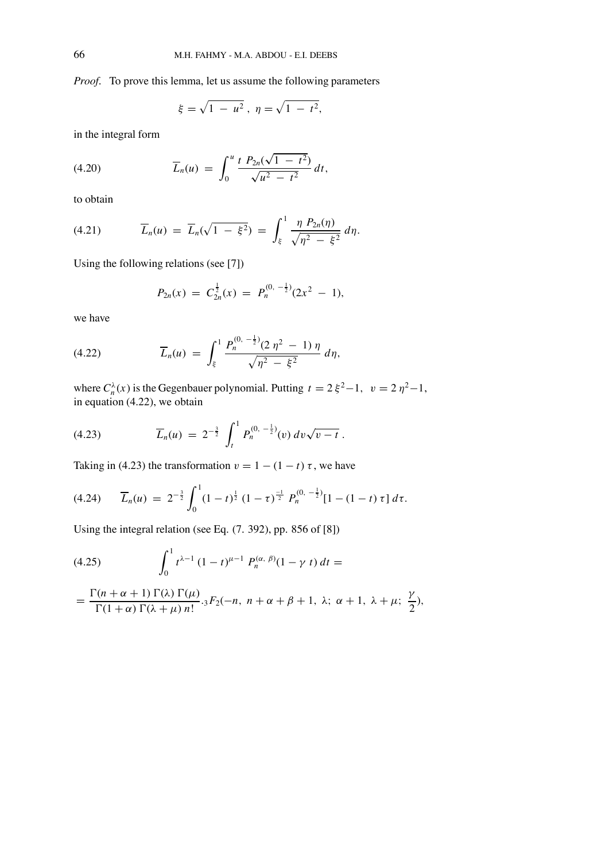*Proof.* To prove this lemma, let us assume the following parameters

$$
\xi = \sqrt{1 - u^2}, \ \eta = \sqrt{1 - t^2},
$$

in the integral form

(4.20) 
$$
\overline{L}_n(u) = \int_0^u \frac{t P_{2n}(\sqrt{1-t^2})}{\sqrt{u^2-t^2}} dt,
$$

to obtain

(4.21) 
$$
\overline{L}_n(u) = \overline{L}_n(\sqrt{1-\xi^2}) = \int_{\xi}^{1} \frac{\eta P_{2n}(\eta)}{\sqrt{\eta^2 - \xi^2}} d\eta.
$$

Using the following relations (see [7])

$$
P_{2n}(x) = C_{2n}^{\frac{1}{2}}(x) = P_n^{(0, -\frac{1}{2})}(2x^2 - 1),
$$

we have

(4.22) 
$$
\overline{L}_n(u) = \int_{\xi}^1 \frac{P_n^{(0, -\frac{1}{2})} (2 \eta^2 - 1) \eta}{\sqrt{\eta^2 - \xi^2}} d\eta,
$$

where  $C_n^{\lambda}(x)$  is the Gegenbauer polynomial. Putting  $t = 2 \xi^2 - 1$ ,  $v = 2 \eta^2 - 1$ , in equation (4.22), we obtain

(4.23) 
$$
\overline{L}_n(u) = 2^{-\frac{3}{2}} \int_t^1 P_n^{(0, -\frac{1}{2})}(v) dv \sqrt{v - t}.
$$

Taking in (4.23) the transformation  $v = 1 - (1 - t) \tau$ , we have

$$
(4.24) \qquad \overline{L}_n(u) = 2^{-\frac{3}{2}} \int_0^1 (1-t)^{\frac{1}{2}} (1-\tau)^{\frac{-1}{2}} P_n^{(0, -\frac{1}{2})} [1-(1-t)\,\tau] \, d\tau.
$$

Using the integral relation (see Eq. (7. 392), pp. 856 of [8])

(4.25) 
$$
\int_0^1 t^{\lambda-1} (1-t)^{\mu-1} P_n^{(\alpha, \beta)}(1-\gamma t) dt =
$$

$$
= \frac{\Gamma(n+\alpha+1)\Gamma(\lambda)\Gamma(\mu)}{\Gamma(1+\alpha)\Gamma(\lambda+\mu)\,n!} {}_3F_2(-n, n+\alpha+\beta+1, \lambda; \alpha+1, \lambda+\mu; \frac{\gamma}{2}),
$$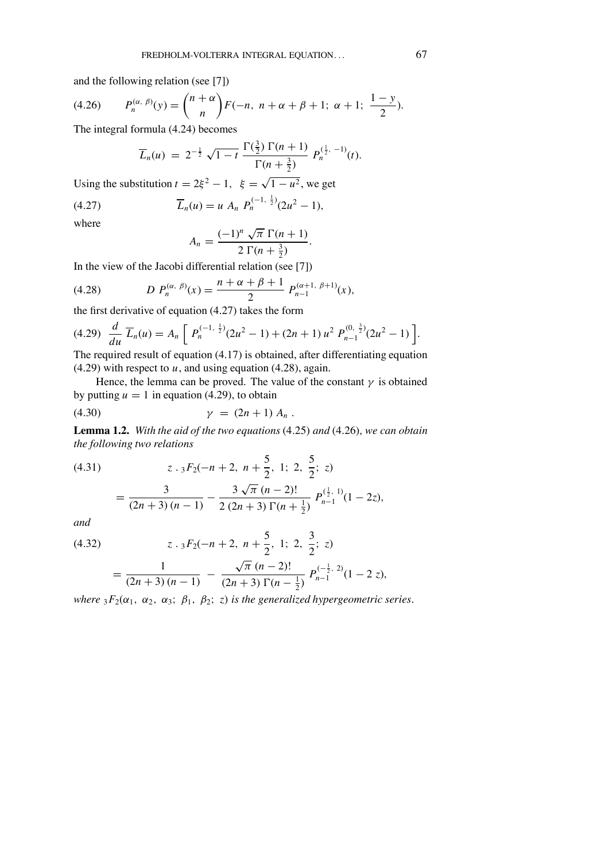and the following relation (see [7])

(4.26) 
$$
P_n^{(\alpha, \beta)}(y) = {n+\alpha \choose n} F(-n, n+\alpha+\beta+1; \alpha+1; \frac{1-y}{2}).
$$

The integral formula (4.24) becomes

$$
\overline{L}_n(u) = 2^{-\frac{1}{2}} \sqrt{1-t} \frac{\Gamma(\frac{3}{2}) \Gamma(n+1)}{\Gamma(n+\frac{3}{2})} P_n^{(\frac{1}{2},-1)}(t).
$$

Using the substitution  $t = 2\xi^2 - 1$ ,  $\xi = \sqrt{1 - u^2}$ , we get

(4.27) 
$$
\overline{L}_n(u) = u A_n P_n^{(-1, \frac{1}{2})} (2u^2 - 1),
$$

where

$$
A_n = \frac{(-1)^n \sqrt{\pi} \Gamma(n+1)}{2 \Gamma(n+\frac{3}{2})}.
$$

In the view of the Jacobi differential relation (see [7])

(4.28) 
$$
D P_n^{(\alpha, \beta)}(x) = \frac{n + \alpha + \beta + 1}{2} P_{n-1}^{(\alpha+1, \beta+1)}(x),
$$

the first derivative of equation  $(4.27)$  takes the form

$$
(4.29) \frac{d}{du} \overline{L}_n(u) = A_n \left[ P_n^{(-1, \frac{1}{2})} (2u^2 - 1) + (2n + 1) u^2 P_{n-1}^{(0, \frac{3}{2})} (2u^2 - 1) \right].
$$

The required result of equation (4.17) is obtained, after differentiating equation  $(4.29)$  with respect to  $u$ , and using equation  $(4.28)$ , again.

Hence, the lemma can be proved. The value of the constant  $\gamma$  is obtained by putting  $u = 1$  in equation (4.29), to obtain

(4.30) 
$$
\gamma = (2n+1) A_n .
$$

**Lemma 1.2.** *With the aid of the two equations* (4.25) *and* (4.26)*, we can obtain the following two relations*

(4.31) 
$$
z \cdot {}_{3}F_{2}(-n+2, n+\frac{5}{2}, 1; 2, \frac{5}{2}; z) = \frac{3}{(2n+3)(n-1)} - \frac{3\sqrt{\pi}(n-2)!}{2(2n+3)\Gamma(n+\frac{1}{2})} P_{n-1}^{(\frac{1}{2}, 1)}(1-2z),
$$

*and*

(4.32) 
$$
z \cdot {}_{3}F_{2}(-n+2, n+\frac{5}{2}, 1; 2, \frac{3}{2}; z) = \frac{1}{(2n+3)(n-1)} - \frac{\sqrt{\pi}(n-2)!}{(2n+3)\Gamma(n-\frac{1}{2})} P_{n-1}^{(-\frac{1}{2}, 2)}(1-2z),
$$

*where*  ${}_{3}F_{2}(\alpha_{1}, \alpha_{2}, \alpha_{3}; \beta_{1}, \beta_{2}; z)$  *is the generalized hypergeometric series.*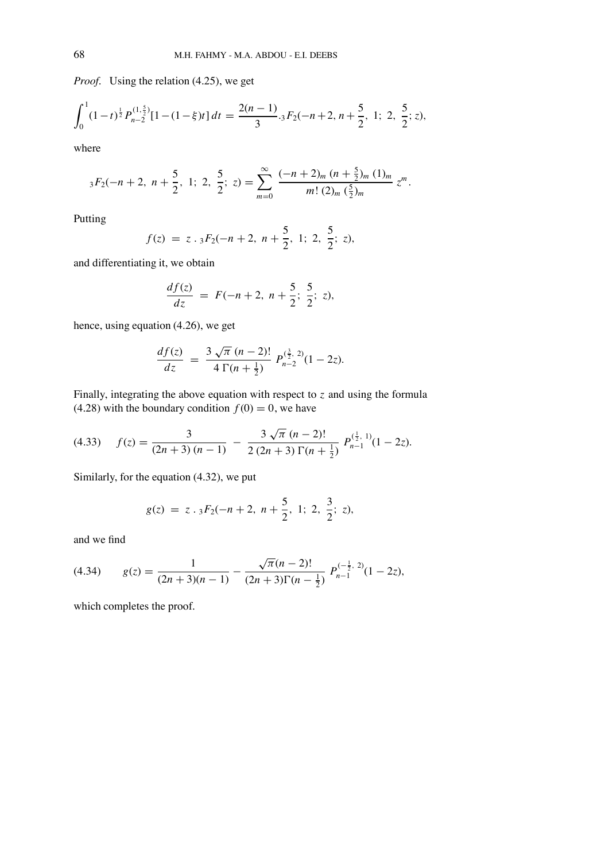*Proof.* Using the relation (4.25), we get

$$
\int_0^1 (1-t)^{\frac{1}{2}} P_{n-2}^{(1,\frac{5}{2})} [1-(1-\xi)t] dt = \frac{2(n-1)}{3} \cdot {}_3F_2(-n+2, n+\frac{5}{2}, 1; 2, \frac{5}{2}; z),
$$

where

$$
_3F_2(-n+2, n+\frac{5}{2}, 1; 2, \frac{5}{2}; z) = \sum_{m=0}^{\infty} \frac{(-n+2)_m (n+\frac{5}{2})_m (1)_m}{m! (2)_m (\frac{5}{2})_m} z^m.
$$

Putting

$$
f(z) = z \cdot {}_{3}F_{2}(-n+2, n+\frac{5}{2}, 1; 2, \frac{5}{2}; z),
$$

and differentiating it, we obtain

$$
\frac{df(z)}{dz} = F(-n+2, n+\frac{5}{2}; \frac{5}{2}; z),
$$

hence, using equation (4.26), we get

$$
\frac{df(z)}{dz} = \frac{3\sqrt{\pi} (n-2)!}{4\Gamma(n+\frac{1}{2})} P_{n-2}^{(\frac{3}{2}, 2)}(1-2z).
$$

Finally, integrating the above equation with respect to *z* and using the formula (4.28) with the boundary condition  $f(0) = 0$ , we have

$$
(4.33) \quad f(z) = \frac{3}{(2n+3)(n-1)} - \frac{3\sqrt{\pi}(n-2)!}{2(2n+3)\Gamma(n+\frac{1}{2})} P_{n-1}^{(\frac{1}{2},1)}(1-2z).
$$

Similarly, for the equation (4.32), we put

$$
g(z) = z \cdot {}_{3}F_{2}(-n+2, n+\frac{5}{2}, 1; 2, \frac{3}{2}; z),
$$

and we find

$$
(4.34) \qquad g(z) = \frac{1}{(2n+3)(n-1)} - \frac{\sqrt{\pi}(n-2)!}{(2n+3)\Gamma(n-\frac{1}{2})} P_{n-1}^{(-\frac{1}{2}, 2)}(1-2z),
$$

which completes the proof.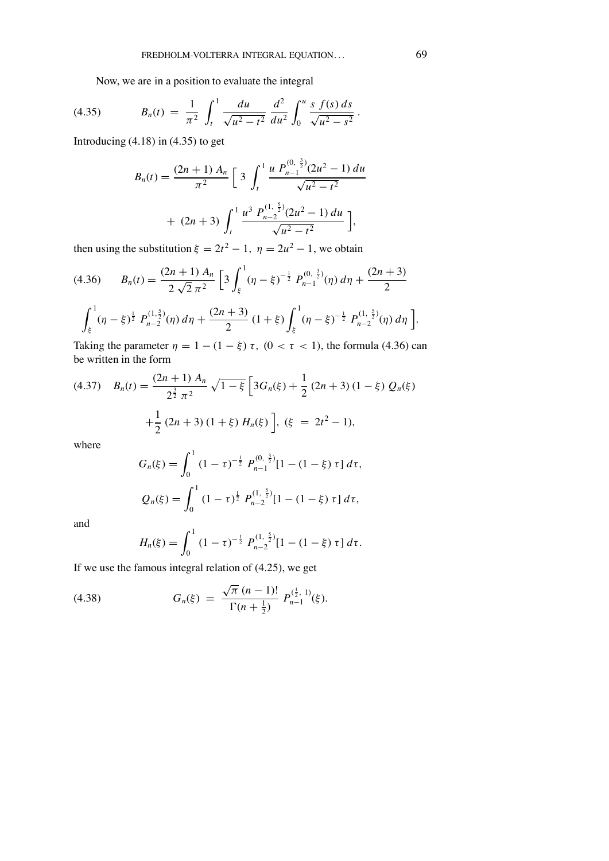Now, we are in a position to evaluate the integral

(4.35) 
$$
B_n(t) = \frac{1}{\pi^2} \int_t^1 \frac{du}{\sqrt{u^2 - t^2}} \frac{d^2}{du^2} \int_0^u \frac{s \ f(s) \ ds}{\sqrt{u^2 - s^2}}.
$$

Introducing  $(4.18)$  in  $(4.35)$  to get

$$
B_n(t) = \frac{(2n+1) A_n}{\pi^2} \left[ 3 \int_t^1 \frac{u P_{n-1}^{(0,\frac{3}{2})} (2u^2 - 1) du}{\sqrt{u^2 - t^2}} + (2n+3) \int_t^1 \frac{u^3 P_{n-2}^{(1,\frac{5}{2})} (2u^2 - 1) du}{\sqrt{u^2 - t^2}} \right],
$$

then using the substitution  $\xi = 2t^2 - 1$ ,  $\eta = 2u^2 - 1$ , we obtain

$$
(4.36) \qquad B_n(t) = \frac{(2n+1) A_n}{2\sqrt{2}\pi^2} \left[ 3 \int_{\xi}^1 (\eta - \xi)^{-\frac{1}{2}} P_{n-1}^{(0,\frac{3}{2})}(\eta) d\eta + \frac{(2n+3)}{2} \right]
$$

$$
\int_{\xi}^{1} (\eta - \xi)^{\frac{1}{2}} P_{n-2}^{(1,\frac{5}{2})}(\eta) d\eta + \frac{(2n+3)}{2} (1+\xi) \int_{\xi}^{1} (\eta - \xi)^{-\frac{1}{2}} P_{n-2}^{(1,\frac{5}{2})}(\eta) d\eta \Bigg].
$$

Taking the parameter  $\eta = 1 - (1 - \xi) \tau$ ,  $(0 < \tau < 1)$ , the formula (4.36) can be written in the form

$$
(4.37) \quad B_n(t) = \frac{(2n+1) A_n}{2^{\frac{3}{2}} \pi^2} \sqrt{1-\xi} \left[ 3G_n(\xi) + \frac{1}{2} (2n+3) (1-\xi) Q_n(\xi) + \frac{1}{2} (2n+3) (1+\xi) H_n(\xi) \right], \, (\xi = 2t^2 - 1),
$$
\nwhere

where

$$
G_n(\xi) = \int_0^1 (1 - \tau)^{-\frac{1}{2}} P_{n-1}^{(0, \frac{3}{2})} [1 - (1 - \xi) \tau] d\tau,
$$
  

$$
Q_n(\xi) = \int_0^1 (1 - \tau)^{\frac{1}{2}} P_{n-2}^{(1, \frac{5}{2})} [1 - (1 - \xi) \tau] d\tau,
$$

and

$$
H_n(\xi) = \int_0^1 (1-\tau)^{-\frac{1}{2}} P_{n-2}^{(1,\frac{5}{2})} [1-(1-\xi)\,\tau]\,d\tau.
$$

If we use the famous integral relation of (4.25), we get

(4.38) 
$$
G_n(\xi) = \frac{\sqrt{\pi} (n-1)!}{\Gamma(n+\frac{1}{2})} P_{n-1}^{(\frac{1}{2},1)}(\xi).
$$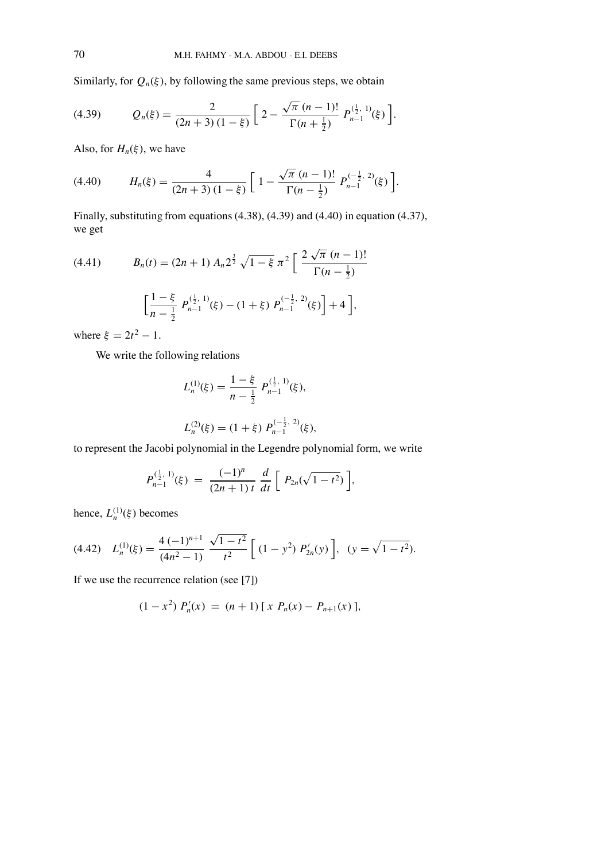Similarly, for  $Q_n(\xi)$ , by following the same previous steps, we obtain

(4.39) 
$$
Q_n(\xi) = \frac{2}{(2n+3)(1-\xi)} \left[ 2 - \frac{\sqrt{\pi} (n-1)!}{\Gamma(n+\frac{1}{2})} P_{n-1}^{(\frac{1}{2},1)}(\xi) \right].
$$

Also, for  $H_n(\xi)$ , we have

(4.40) 
$$
H_n(\xi) = \frac{4}{(2n+3)(1-\xi)} \left[ 1 - \frac{\sqrt{\pi} (n-1)!}{\Gamma(n-\frac{1}{2})} P_{n-1}^{(-\frac{1}{2}, 2)}(\xi) \right].
$$

Finally, substituting from equations (4.38), (4.39) and (4.40) in equation (4.37), we get

(4.41) 
$$
B_n(t) = (2n+1) A_n 2^{\frac{3}{2}} \sqrt{1-\xi} \pi^2 \left[ \frac{2 \sqrt{\pi} (n-1)!}{\Gamma(n-\frac{1}{2})} \right]
$$

$$
\left[ \frac{1-\xi}{n-\frac{1}{2}} P_{n-1}^{(\frac{1}{2},1)}(\xi) - (1+\xi) P_{n-1}^{(-\frac{1}{2},2)}(\xi) \right] + 4 \Big],
$$

where  $\xi = 2t^2 - 1$ .

We write the following relations

$$
L_n^{(1)}(\xi) = \frac{1 - \xi}{n - \frac{1}{2}} P_{n-1}^{(\frac{1}{2}, 1)}(\xi),
$$
  

$$
L_n^{(2)}(\xi) = (1 + \xi) P_{n-1}^{(-\frac{1}{2}, 2)}(\xi),
$$

to represent the Jacobi polynomial in the Legendre polynomial form, we write

$$
P_{n-1}^{(\frac{1}{2}, 1)}(\xi) = \frac{(-1)^n}{(2n+1)t} \frac{d}{dt} \left[ P_{2n}(\sqrt{1-t^2}) \right],
$$

hence,  $L_n^{(1)}(\xi)$  becomes

$$
(4.42)\quad L_n^{(1)}(\xi) = \frac{4(-1)^{n+1}}{(4n^2-1)}\frac{\sqrt{1-t^2}}{t^2}\left[ (1-y^2) P'_{2n}(y) \right], \quad (y = \sqrt{1-t^2}).
$$

If we use the recurrence relation (see [7])

$$
(1-x2) P'n(x) = (n + 1) [x Pn(x) - Pn+1(x)],
$$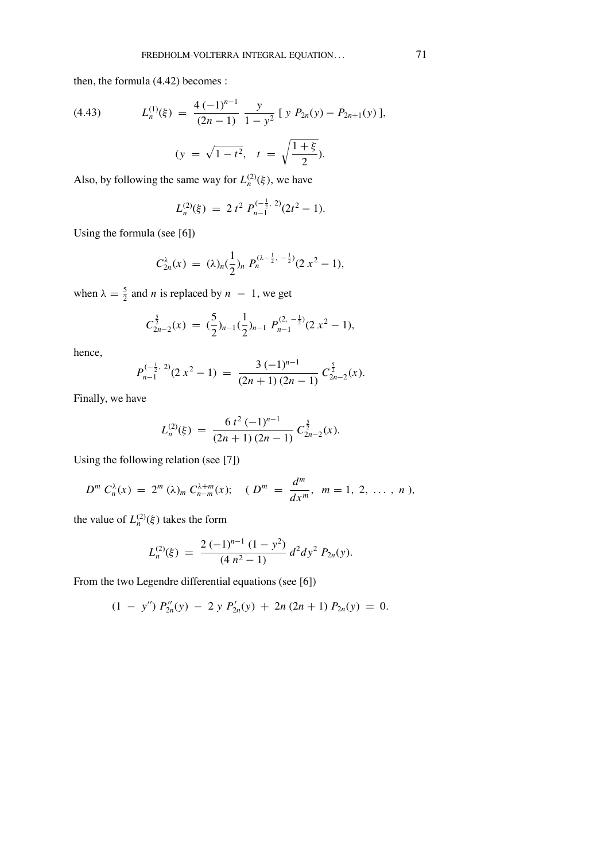then, the formula (4.42) becomes :

(4.43) 
$$
L_n^{(1)}(\xi) = \frac{4(-1)^{n-1}}{(2n-1)} \frac{y}{1-y^2} [y P_{2n}(y) - P_{2n+1}(y)],
$$

$$
(y = \sqrt{1-t^2}, t = \sqrt{\frac{1+\xi}{2}}).
$$

Also, by following the same way for  $L_n^{(2)}(\xi)$ , we have

$$
L_n^{(2)}(\xi) = 2 t^2 P_{n-1}^{(-\frac{1}{2}, 2)}(2t^2 - 1).
$$

Using the formula (see [6])

$$
C_{2n}^{\lambda}(x) = (\lambda)_n(\frac{1}{2})_n P_n^{(\lambda - \frac{1}{2}, -\frac{1}{2})} (2 x^2 - 1),
$$

when  $\lambda = \frac{5}{2}$  and *n* is replaced by  $n - 1$ , we get

$$
C_{2n-2}^{\frac{5}{2}}(x) = (\frac{5}{2})_{n-1}(\frac{1}{2})_{n-1} P_{n-1}^{(2, -\frac{1}{2})} (2x^2 - 1),
$$

hence,

$$
P_{n-1}^{(-\frac{1}{2}, 2)}(2x^2 - 1) = \frac{3(-1)^{n-1}}{(2n+1)(2n-1)} C_{2n-2}^{\frac{5}{2}}(x).
$$

Finally, we have

$$
L_n^{(2)}(\xi) = \frac{6 t^2 (-1)^{n-1}}{(2n+1) (2n-1)} C_{2n-2}^{\frac{5}{2}}(x).
$$

Using the following relation (see [7])

$$
D^{m} C_{n}^{\lambda}(x) = 2^{m} (\lambda)_{m} C_{n-m}^{\lambda+m}(x); \quad (D^{m} = \frac{d^{m}}{dx^{m}}, m = 1, 2, ..., n),
$$

the value of  $L_n^{(2)}(\xi)$  takes the form

$$
L_n^{(2)}(\xi) = \frac{2(-1)^{n-1}(1-y^2)}{(4 n^2-1)} d^2 dy^2 P_{2n}(y).
$$

From the two Legendre differential equations (see [6])

$$
(1 - y'') P_{2n}''(y) - 2 y P_{2n}'(y) + 2n (2n + 1) P_{2n}(y) = 0.
$$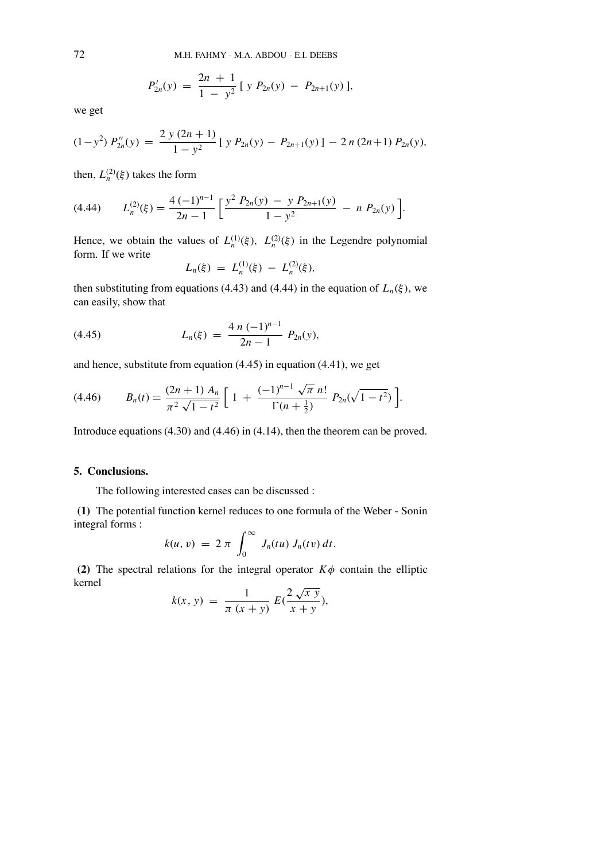$$
P'_{2n}(y) = \frac{2n+1}{1-y^2} [y P_{2n}(y) - P_{2n+1}(y)],
$$

we get

$$
(1-y^2) P''_{2n}(y) = \frac{2 y (2n+1)}{1-y^2} [y P_{2n}(y) - P_{2n+1}(y)] - 2 n (2n+1) P_{2n}(y),
$$

then,  $L_n^{(2)}(\xi)$  takes the form

$$
(4.44) \qquad L_n^{(2)}(\xi) = \frac{4(-1)^{n-1}}{2n-1} \left[ \frac{y^2 \ P_{2n}(y) - y \ P_{2n+1}(y)}{1-y^2} - n \ P_{2n}(y) \right].
$$

Hence, we obtain the values of  $L_n^{(1)}(\xi)$ ,  $L_n^{(2)}(\xi)$  in the Legendre polynomial form. If we write

$$
L_n(\xi) = L_n^{(1)}(\xi) - L_n^{(2)}(\xi),
$$

then substituting from equations (4.43) and (4.44) in the equation of  $L_n(\xi)$ , we can easily, show that

(4.45) 
$$
L_n(\xi) = \frac{4 n (-1)^{n-1}}{2n-1} P_{2n}(y),
$$

and hence, substitute from equation (4.45) in equation (4.41), we get

$$
(4.46) \t B_n(t) = \frac{(2n+1) A_n}{\pi^2 \sqrt{1-t^2}} \left[ 1 + \frac{(-1)^{n-1} \sqrt{\pi} n!}{\Gamma(n+\frac{1}{2})} P_{2n}(\sqrt{1-t^2}) \right].
$$

Introduce equations(4.30) and (4.46) in (4.14), then the theorem can be proved.

#### **5. Conclusions.**

The following interested cases can be discussed :

**(1)** The potential function kernel reduces to one formula of the Weber - Sonin integral forms :

$$
k(u, v) = 2 \pi \int_0^\infty J_n(tu) J_n(tv) dt.
$$

**(2)** The spectral relations for the integral operator  $K\phi$  contain the elliptic kernel

$$
k(x, y) = \frac{1}{\pi (x + y)} E(\frac{2\sqrt{xy}}{x + y}),
$$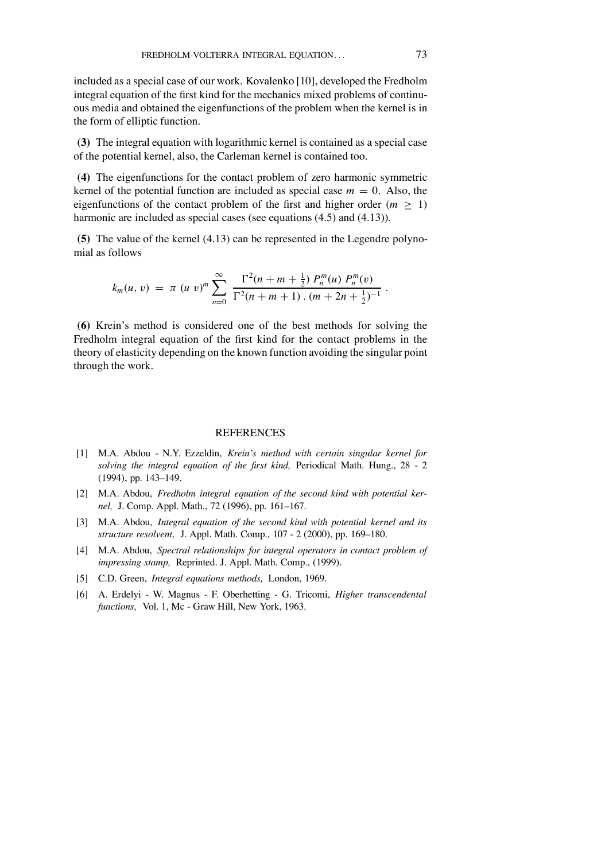included as a special case of our work. Kovalenko [10], developed the Fredholm integral equation of the first kind for the mechanics mixed problems of continuous media and obtained the eigenfunctions of the problem when the kernel is in the form of elliptic function.

**(3)** The integral equation with logarithmic kernel is contained as a special case of the potential kernel, also, the Carleman kernel is contained too.

**(4)** The eigenfunctions for the contact problem of zero harmonic symmetric kernel of the potential function are included as special case  $m = 0$ . Also, the eigenfunctions of the contact problem of the first and higher order ( $m \geq 1$ ) harmonic are included as special cases (see equations (4.5) and (4.13)).

**(5)** The value of the kernel (4.13) can be represented in the Legendre polynomial as follows

$$
k_m(u, v) = \pi (u v)^m \sum_{n=0}^{\infty} \frac{\Gamma^2(n + m + \frac{1}{2}) P_n^m(u) P_n^m(v)}{\Gamma^2(n + m + 1) \cdot (m + 2n + \frac{1}{2})^{-1}}.
$$

**(6)** Krein's method is considered one of the best methods for solving the Fredholm integral equation of the first kind for the contact problems in the theory of elasticity depending on the known function avoiding the singular point through the work.

#### **REFERENCES**

- [1] M.A. Abdou N.Y. Ezzeldin, *Krein's method with certain singular kernel for solving the integral equation of the �rst kind,* Periodical Math. Hung., 28 - 2  $(1994)$ , pp.  $143-149$ .
- [2] M.A. Abdou, *Fredholm integral equation of the second kind with potential kernel*, J. Comp. Appl. Math., 72 (1996), pp. 161–167.
- [3] M.A. Abdou, *Integral equation of the second kind with potential kernel and its structure resolvent, J. Appl. Math. Comp., 107 - 2 (2000), pp. 169–180.*
- [4] M.A. Abdou, *Spectral relationships for integral operators in contact problem of impressing stamp,* Reprinted. J. Appl. Math. Comp., (1999).
- [5] C.D. Green, *Integral equations methods,* London, 1969.
- [6] A. Erdelyi W. Magnus F. Oberhetting G. Tricomi, *Higher transcendental functions,* Vol. 1, Mc - Graw Hill, New York, 1963.